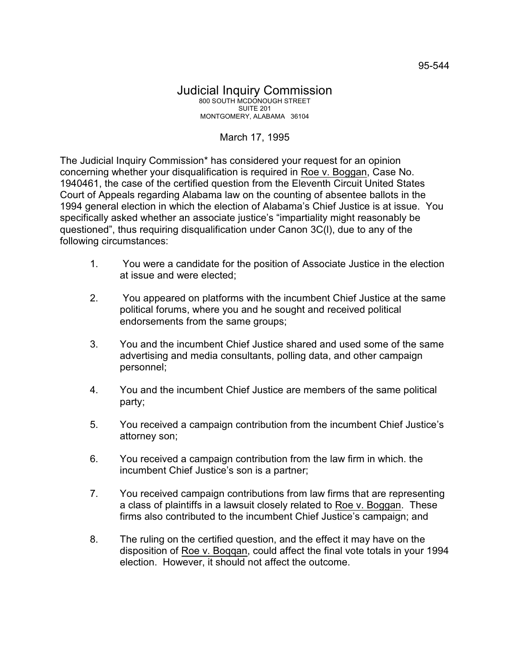## March 17, 1995

The Judicial Inquiry Commission\* has considered your request for an opinion concerning whether your disqualification is required in Roe v. Boggan, Case No. 1940461, the case of the certified question from the Eleventh Circuit United States Court of Appeals regarding Alabama law on the counting of absentee ballots in the 1994 general election in which the election of Alabama's Chief Justice is at issue. You specifically asked whether an associate justice's "impartiality might reasonably be questioned", thus requiring disqualification under Canon 3C(l), due to any of the following circumstances:

- 1. You were a candidate for the position of Associate Justice in the election at issue and were elected;
- 2. You appeared on platforms with the incumbent Chief Justice at the same political forums, where you and he sought and received political endorsements from the same groups;
- 3. You and the incumbent Chief Justice shared and used some of the same advertising and media consultants, polling data, and other campaign personnel;
- 4. You and the incumbent Chief Justice are members of the same political party;
- 5. You received a campaign contribution from the incumbent Chief Justice's attorney son;
- 6. You received a campaign contribution from the law firm in which. the incumbent Chief Justice's son is a partner;
- 7. You received campaign contributions from law firms that are representing a class of plaintiffs in a lawsuit closely related to Roe v. Boggan. These firms also contributed to the incumbent Chief Justice's campaign; and
- 8. The ruling on the certified question, and the effect it may have on the disposition of Roe v. Boqqan, could affect the final vote totals in your 1994 election. However, it should not affect the outcome.